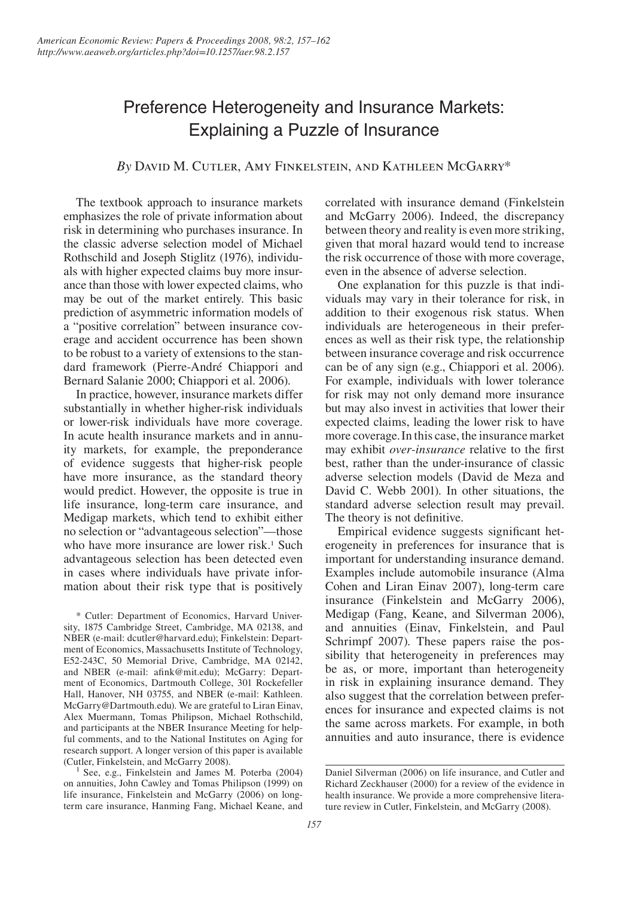# Preference Heterogeneity and Insurance Markets: Explaining a Puzzle of Insurance

# *By* David M. Cutler, Amy Finkelstein, and Kathleen McGarry\*

The textbook approach to insurance markets emphasizes the role of private information about risk in determining who purchases insurance. In the classic adverse selection model of Michael Rothschild and Joseph Stiglitz (1976), individuals with higher expected claims buy more insurance than those with lower expected claims, who may be out of the market entirely. This basic prediction of asymmetric information models of a "positive correlation" between insurance coverage and accident occurrence has been shown to be robust to a variety of extensions to the standard framework (Pierre-André Chiappori and Bernard Salanie 2000; Chiappori et al. 2006).

In practice, however, insurance markets differ substantially in whether higher-risk individuals or lower-risk individuals have more coverage. In acute health insurance markets and in annuity markets, for example, the preponderance of evidence suggests that higher-risk people have more insurance, as the standard theory would predict. However, the opposite is true in life insurance, long-term care insurance, and Medigap markets, which tend to exhibit either no selection or "advantageous selection"—those who have more insurance are lower risk.<sup>1</sup> Such advantageous selection has been detected even in cases where individuals have private information about their risk type that is positively

\* Cutler: Department of Economics, Harvard University, 1875 Cambridge Street, Cambridge, MA 02138, and NBER (e-mail: dcutler@harvard.edu); Finkelstein: Department of Economics, Massachusetts Institute of Technology, E52-243C, 50 Memorial Drive, Cambridge, MA 02142, and NBER (e-mail: afink@mit.edu); McGarry: Department of Economics, Dartmouth College, 301 Rockefeller Hall, Hanover, NH 03755, and NBER (e-mail: Kathleen. McGarry@Dartmouth.edu). We are grateful to Liran Einav, Alex Muermann, Tomas Philipson, Michael Rothschild, and participants at the NBER Insurance Meeting for helpful comments, and to the National Institutes on Aging for research support. A longer version of this paper is available (Cutler, Finkelstein, and McGarry 2008).

See, e.g., Finkelstein and James M. Poterba (2004) on annuities, John Cawley and Tomas Philipson (1999) on life insurance, Finkelstein and McGarry (2006) on longterm care insurance, Hanming Fang, Michael Keane, and correlated with insurance demand (Finkelstein and McGarry 2006). Indeed, the discrepancy between theory and reality is even more striking, given that moral hazard would tend to increase the risk occurrence of those with more coverage, even in the absence of adverse selection.

One explanation for this puzzle is that individuals may vary in their tolerance for risk, in addition to their exogenous risk status. When individuals are heterogeneous in their preferences as well as their risk type, the relationship between insurance coverage and risk occurrence can be of any sign (e.g., Chiappori et al. 2006). For example, individuals with lower tolerance for risk may not only demand more insurance but may also invest in activities that lower their expected claims, leading the lower risk to have more coverage.In this case, the insurance market may exhibit *over-insurance* relative to the first best, rather than the under-insurance of classic adverse selection models (David de Meza and David C. Webb 2001). In other situations, the standard adverse selection result may prevail. The theory is not definitive.

Empirical evidence suggests significant heterogeneity in preferences for insurance that is important for understanding insurance demand. Examples include automobile insurance (Alma Cohen and Liran Einav 2007), long-term care insurance (Finkelstein and McGarry 2006), Medigap (Fang, Keane, and Silverman 2006), and annuities (Einav, Finkelstein, and Paul Schrimpf 2007). These papers raise the possibility that heterogeneity in preferences may be as, or more, important than heterogeneity in risk in explaining insurance demand. They also suggest that the correlation between preferences for insurance and expected claims is not the same across markets. For example, in both annuities and auto insurance, there is evidence

Daniel Silverman (2006) on life insurance, and Cutler and Richard Zeckhauser (2000) for a review of the evidence in health insurance. We provide a more comprehensive literature review in Cutler, Finkelstein, and McGarry (2008).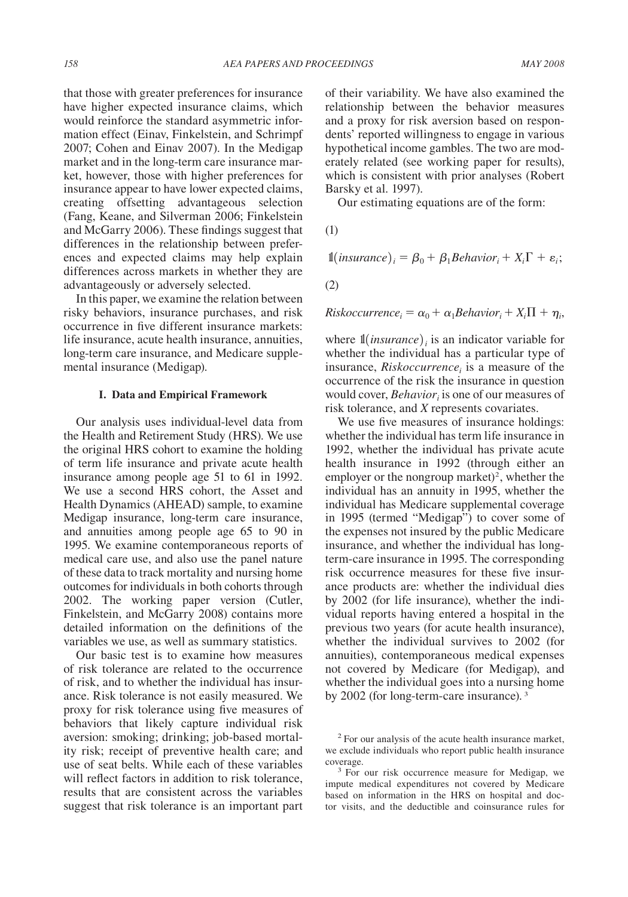that those with greater preferences for insurance have higher expected insurance claims, which would reinforce the standard asymmetric information effect (Einav, Finkelstein, and Schrimpf 2007; Cohen and Einav 2007). In the Medigap market and in the long-term care insurance market, however, those with higher preferences for insurance appear to have lower expected claims, creating offsetting advantageous selection (Fang, Keane, and Silverman 2006; Finkelstein and McGarry 2006). These findings suggest that differences in the relationship between preferences and expected claims may help explain differences across markets in whether they are advantageously or adversely selected.

In this paper, we examine the relation between risky behaviors, insurance purchases, and risk occurrence in five different insurance markets: life insurance, acute health insurance, annuities, long-term care insurance, and Medicare supplemental insurance (Medigap).

#### **I. Data and Empirical Framework**

Our analysis uses individual-level data from the Health and Retirement Study (HRS). We use the original HRS cohort to examine the holding of term life insurance and private acute health insurance among people age 51 to 61 in 1992. We use a second HRS cohort, the Asset and Health Dynamics (AHEAD) sample, to examine Medigap insurance, long-term care insurance, and annuities among people age 65 to 90 in 1995. We examine contemporaneous reports of medical care use, and also use the panel nature of these data to track mortality and nursing home outcomes for individuals in both cohorts through 2002. The working paper version (Cutler, Finkelstein, and McGarry 2008) contains more detailed information on the definitions of the variables we use, as well as summary statistics.

Our basic test is to examine how measures of risk tolerance are related to the occurrence of risk, and to whether the individual has insurance. Risk tolerance is not easily measured. We proxy for risk tolerance using five measures of behaviors that likely capture individual risk aversion: smoking; drinking; job-based mortality risk; receipt of preventive health care; and use of seat belts. While each of these variables will reflect factors in addition to risk tolerance. results that are consistent across the variables suggest that risk tolerance is an important part of their variability. We have also examined the relationship between the behavior measures and a proxy for risk aversion based on respondents' reported willingness to engage in various hypothetical income gambles. The two are moderately related (see working paper for results), which is consistent with prior analyses (Robert Barsky et al. 1997).

Our estimating equations are of the form:

(1)

$$
\mathbb{1}(insurance)_i = \beta_0 + \beta_1 Behavior_i + X_i\Gamma + \varepsilon_i;
$$

(2)

 $Riskoccurrentce_i = \alpha_0 + \alpha_1 Behavior_i + X_i\Pi + \eta_i$ 

where  $\mathbb{1}(insurance)$  *i* is an indicator variable for whether the individual has a particular type of insurance,  $Risk occurrence_i$  is a measure of the occurrence of the risk the insurance in question would cover, *Behavior*<sub>i</sub> is one of our measures of risk tolerance, and *X* represents covariates.

We use five measures of insurance holdings: whether the individual has term life insurance in 1992, whether the individual has private acute health insurance in 1992 (through either an employer or the nongroup market)<sup>2</sup>, whether the individual has an annuity in 1995, whether the individual has Medicare supplemental coverage in 1995 (termed "Medigap") to cover some of the expenses not insured by the public Medicare insurance, and whether the individual has longterm-care insurance in 1995. The corresponding risk occurrence measures for these five insurance products are: whether the individual dies by 2002 (for life insurance), whether the individual reports having entered a hospital in the previous two years (for acute health insurance), whether the individual survives to 2002 (for annuities), contemporaneous medical expenses not covered by Medicare (for Medigap), and whether the individual goes into a nursing home by 2002 (for long-term-care insurance). <sup>3</sup>

<sup>&</sup>lt;sup>2</sup> For our analysis of the acute health insurance market, we exclude individuals who report public health insurance

coverage. <sup>3</sup> For our risk occurrence measure for Medigap, we impute medical expenditures not covered by Medicare based on information in the HRS on hospital and doctor visits, and the deductible and coinsurance rules for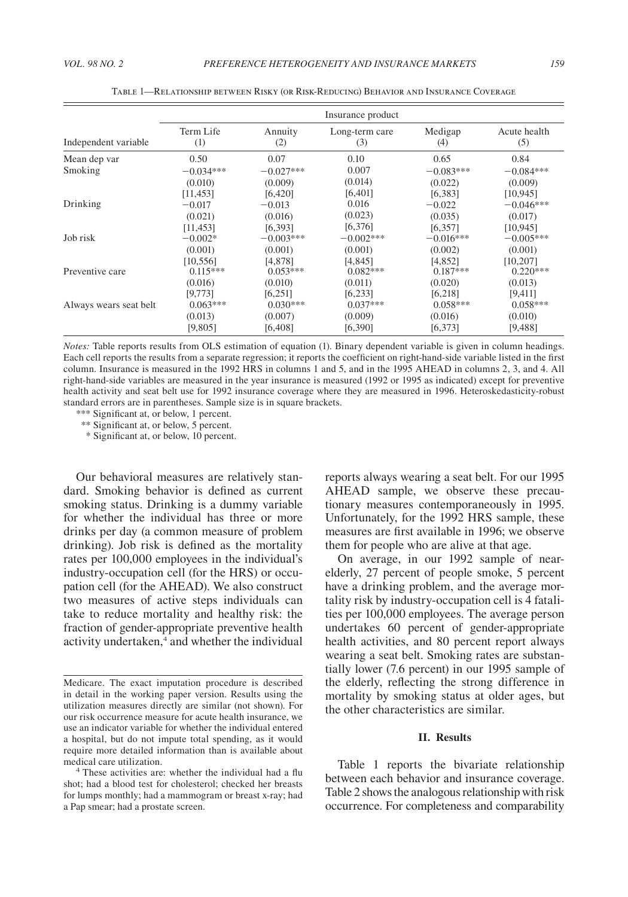|                        | Insurance product |                |                       |                |                     |  |
|------------------------|-------------------|----------------|-----------------------|----------------|---------------------|--|
| Independent variable   | Term Life<br>(1)  | Annuity<br>(2) | Long-term care<br>(3) | Medigap<br>(4) | Acute health<br>(5) |  |
| Mean dep var           | 0.50              | 0.07           | 0.10                  | 0.65           | 0.84                |  |
| Smoking                | $-0.034***$       | $-0.027***$    | 0.007                 | $-0.083***$    | $-0.084***$         |  |
|                        | (0.010)           | (0.009)        | (0.014)               | (0.022)        | (0.009)             |  |
|                        | [11, 453]         | [6, 420]       | [6,401]               | [6, 383]       | [10, 945]           |  |
| Drinking               | $-0.017$          | $-0.013$       | 0.016                 | $-0.022$       | $-0.046***$         |  |
|                        | (0.021)           | (0.016)        | (0.023)               | (0.035)        | (0.017)             |  |
|                        | [11, 453]         | [6, 393]       | [6,376]               | [6, 357]       | [10, 945]           |  |
| Job risk               | $-0.002*$         | $-0.003***$    | $-0.002***$           | $-0.016***$    | $-0.005***$         |  |
|                        | (0.001)           | (0.001)        | (0.001)               | (0.002)        | (0.001)             |  |
|                        | [10, 556]         | [4,878]        | [4, 845]              | [4,852]        | [10, 207]           |  |
| Preventive care        | $0.115***$        | $0.053***$     | $0.082***$            | $0.187***$     | $0.220***$          |  |
|                        | (0.016)           | (0.010)        | (0.011)               | (0.020)        | (0.013)             |  |
|                        | [9,773]           | [6,251]        | [6,233]               | [6, 218]       | [9,411]             |  |
| Always wears seat belt | $0.063***$        | $0.030***$     | $0.037***$            | $0.058***$     | $0.058***$          |  |
|                        | (0.013)           | (0.007)        | (0.009)               | (0.016)        | (0.010)             |  |
|                        | [9,805]           | [6,408]        | [6,390]               | [6, 373]       | [9,488]             |  |

Table 1—Relationship between Risky (or Risk-Reducing) Behavior and Insurance Coverage

*Notes:* Table reports results from OLS estimation of equation (1). Binary dependent variable is given in column headings. Each cell reports the results from a separate regression; it reports the coefficient on right-hand-side variable listed in the first column. Insurance is measured in the 1992 HRS in columns 1 and 5, and in the 1995 AHEAD in columns 2, 3, and 4. All right-hand-side variables are measured in the year insurance is measured (1992 or 1995 as indicated) except for preventive health activity and seat belt use for 1992 insurance coverage where they are measured in 1996. Heteroskedasticity-robust standard errors are in parentheses. Sample size is in square brackets.

\*\*\* Significant at, or below, 1 percent.

\*\* Significant at, or below, 5 percent.

\* Significant at, or below, 10 percent.

Our behavioral measures are relatively standard. Smoking behavior is defined as current smoking status. Drinking is a dummy variable for whether the individual has three or more drinks per day (a common measure of problem drinking). Job risk is defined as the mortality rates per 100,000 employees in the individual's industry-occupation cell (for the HRS) or occupation cell (for the AHEAD). We also construct two measures of active steps individuals can take to reduce mortality and healthy risk: the fraction of gender-appropriate preventive health activity undertaken,<sup>4</sup> and whether the individual reports always wearing a seat belt. For our 1995 AHEAD sample, we observe these precautionary measures contemporaneously in 1995. Unfortunately, for the 1992 HRS sample, these measures are first available in 1996; we observe them for people who are alive at that age.

On average, in our 1992 sample of nearelderly, 27 percent of people smoke, 5 percent have a drinking problem, and the average mortality risk by industry-occupation cell is 4 fatalities per 100,000 employees. The average person undertakes 60 percent of gender-appropriate health activities, and 80 percent report always wearing a seat belt. Smoking rates are substantially lower (7.6 percent) in our 1995 sample of the elderly, reflecting the strong difference in mortality by smoking status at older ages, but the other characteristics are similar.

### **II. Results**

Table 1 reports the bivariate relationship between each behavior and insurance coverage. Table 2 shows the analogous relationship with risk occurrence. For completeness and comparability

Medicare. The exact imputation procedure is described in detail in the working paper version. Results using the utilization measures directly are similar (not shown). For our risk occurrence measure for acute health insurance, we use an indicator variable for whether the individual entered a hospital, but do not impute total spending, as it would require more detailed information than is available about medical care utilization.<br><sup>4</sup> These activities are: whether the individual had a flu

shot; had a blood test for cholesterol; checked her breasts for lumps monthly; had a mammogram or breast x-ray; had a Pap smear; had a prostate screen.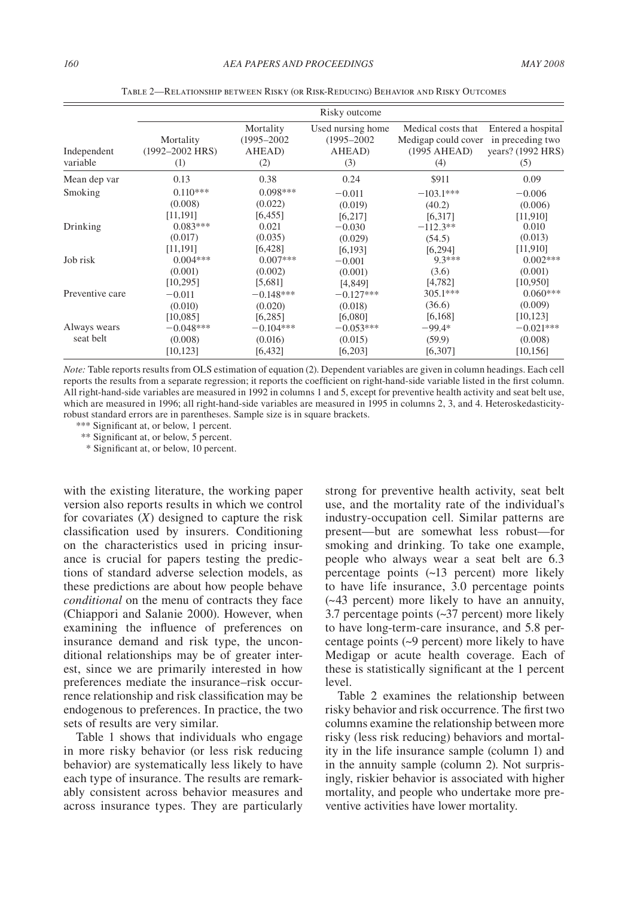|                           | Risky outcome                           |                                               |                                                       |                                                                  |                                                                    |  |  |  |
|---------------------------|-----------------------------------------|-----------------------------------------------|-------------------------------------------------------|------------------------------------------------------------------|--------------------------------------------------------------------|--|--|--|
| Independent<br>variable   | Mortality<br>$(1992 - 2002$ HRS)<br>(1) | Mortality<br>$(1995 - 2002)$<br>AHEAD)<br>(2) | Used nursing home<br>$(1995 - 2002)$<br>AHEAD)<br>(3) | Medical costs that<br>Medigap could cover<br>(1995 AHEAD)<br>(4) | Entered a hospital<br>in preceding two<br>years? (1992 HRS)<br>(5) |  |  |  |
| Mean dep var              | 0.13                                    | 0.38                                          | 0.24                                                  | \$911                                                            | 0.09                                                               |  |  |  |
| Smoking                   | $0.110***$                              | $0.098***$                                    | $-0.011$                                              | $-103.1***$                                                      | $-0.006$                                                           |  |  |  |
|                           | (0.008)                                 | (0.022)                                       | (0.019)                                               | (40.2)                                                           | (0.006)                                                            |  |  |  |
|                           | [11, 191]                               | [6, 455]                                      | [6, 217]                                              | [6, 317]                                                         | [11, 910]                                                          |  |  |  |
| Drinking                  | $0.083***$                              | 0.021                                         | $-0.030$                                              | $-112.3**$                                                       | 0.010                                                              |  |  |  |
|                           | (0.017)                                 | (0.035)                                       | (0.029)                                               | (54.5)                                                           | (0.013)                                                            |  |  |  |
|                           | [11, 191]                               | [6, 428]                                      | [6, 193]                                              | [6, 294]                                                         | [11, 910]                                                          |  |  |  |
| Job risk                  | $0.004***$                              | $0.007***$                                    | $-0.001$                                              | $9.3***$                                                         | $0.002***$                                                         |  |  |  |
|                           | (0.001)                                 | (0.002)                                       | (0.001)                                               | (3.6)                                                            | (0.001)                                                            |  |  |  |
|                           | [10, 295]                               | [5,681]                                       | [4, 849]                                              | [4,782]                                                          | [10, 950]                                                          |  |  |  |
| Preventive care           | $-0.011$                                | $-0.148***$                                   | $-0.127***$                                           | 305.1***                                                         | $0.060***$                                                         |  |  |  |
|                           | (0.010)                                 | (0.020)                                       | (0.018)                                               | (36.6)                                                           | (0.009)                                                            |  |  |  |
|                           | [10,085]                                | [6, 285]                                      | [6,080]                                               | [6, 168]                                                         | [10, 123]                                                          |  |  |  |
| Always wears<br>seat belt | $-0.048***$<br>(0.008)<br>[10, 123]     | $-0.104***$<br>(0.016)<br>[6, 432]            | $-0.053***$<br>(0.015)<br>[6, 203]                    | $-99.4*$<br>(59.9)<br>[6, 307]                                   | $-0.021***$<br>(0.008)<br>[10, 156]                                |  |  |  |

Table 2—Relationship between Risky (or Risk-Reducing) Behavior and Risky Outcomes

*Note:* Table reports results from OLS estimation of equation (2). Dependent variables are given in column headings. Each cell reports the results from a separate regression; it reports the coefficient on right-hand-side variable listed in the first column. All right-hand-side variables are measured in 1992 in columns 1 and 5, except for preventive health activity and seat belt use, which are measured in 1996; all right-hand-side variables are measured in 1995 in columns 2, 3, and 4. Heteroskedasticityrobust standard errors are in parentheses. Sample size is in square brackets.

\*\*\* Significant at, or below, 1 percent.

\*\* Significant at, or below, 5 percent.

\* Significant at, or below, 10 percent.

with the existing literature, the working paper version also reports results in which we control for covariates (*X*) designed to capture the risk classification used by insurers. Conditioning on the characteristics used in pricing insurance is crucial for papers testing the predictions of standard adverse selection models, as these predictions are about how people behave *conditional* on the menu of contracts they face (Chiappori and Salanie 2000). However, when examining the influence of preferences on insurance demand and risk type, the unconditional relationships may be of greater interest, since we are primarily interested in how preferences mediate the insurance–risk occurrence relationship and risk classification may be endogenous to preferences. In practice, the two sets of results are very similar.

Table 1 shows that individuals who engage in more risky behavior (or less risk reducing behavior) are systematically less likely to have each type of insurance. The results are remarkably consistent across behavior measures and across insurance types. They are particularly strong for preventive health activity, seat belt use, and the mortality rate of the individual's industry-occupation cell. Similar patterns are present—but are somewhat less robust—for smoking and drinking. To take one example, people who always wear a seat belt are 6.3 percentage points (~13 percent) more likely to have life insurance, 3.0 percentage points (~43 percent) more likely to have an annuity, 3.7 percentage points (~37 percent) more likely to have long-term-care insurance, and 5.8 percentage points (~9 percent) more likely to have Medigap or acute health coverage. Each of these is statistically significant at the 1 percent level.

Table 2 examines the relationship between risky behavior and risk occurrence. The first two columns examine the relationship between more risky (less risk reducing) behaviors and mortality in the life insurance sample (column 1) and in the annuity sample (column 2). Not surprisingly, riskier behavior is associated with higher mortality, and people who undertake more preventive activities have lower mortality.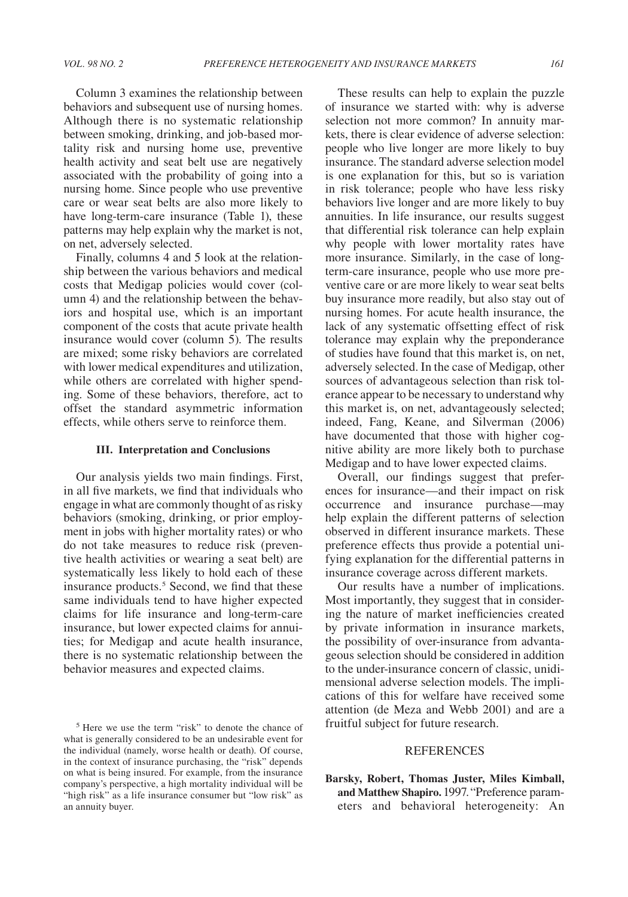Column 3 examines the relationship between behaviors and subsequent use of nursing homes. Although there is no systematic relationship between smoking, drinking, and job-based mortality risk and nursing home use, preventive health activity and seat belt use are negatively associated with the probability of going into a nursing home. Since people who use preventive care or wear seat belts are also more likely to have long-term-care insurance (Table 1), these patterns may help explain why the market is not, on net, adversely selected.

Finally, columns 4 and 5 look at the relationship between the various behaviors and medical costs that Medigap policies would cover (column 4) and the relationship between the behaviors and hospital use, which is an important component of the costs that acute private health insurance would cover (column 5). The results are mixed; some risky behaviors are correlated with lower medical expenditures and utilization, while others are correlated with higher spending. Some of these behaviors, therefore, act to offset the standard asymmetric information effects, while others serve to reinforce them.

#### **III. Interpretation and Conclusions**

Our analysis yields two main findings. First, in all five markets, we find that individuals who engage in what are commonly thought of as risky behaviors (smoking, drinking, or prior employment in jobs with higher mortality rates) or who do not take measures to reduce risk (preventive health activities or wearing a seat belt) are systematically less likely to hold each of these insurance products.<sup>5</sup> Second, we find that these same individuals tend to have higher expected claims for life insurance and long-term-care insurance, but lower expected claims for annuities; for Medigap and acute health insurance, there is no systematic relationship between the behavior measures and expected claims.

These results can help to explain the puzzle of insurance we started with: why is adverse selection not more common? In annuity markets, there is clear evidence of adverse selection: people who live longer are more likely to buy insurance. The standard adverse selection model is one explanation for this, but so is variation in risk tolerance; people who have less risky behaviors live longer and are more likely to buy annuities. In life insurance, our results suggest that differential risk tolerance can help explain why people with lower mortality rates have more insurance. Similarly, in the case of longterm-care insurance, people who use more preventive care or are more likely to wear seat belts buy insurance more readily, but also stay out of nursing homes. For acute health insurance, the lack of any systematic offsetting effect of risk tolerance may explain why the preponderance of studies have found that this market is, on net, adversely selected. In the case of Medigap, other sources of advantageous selection than risk tolerance appear to be necessary to understand why this market is, on net, advantageously selected; indeed, Fang, Keane, and Silverman (2006) have documented that those with higher cognitive ability are more likely both to purchase Medigap and to have lower expected claims.

Overall, our findings suggest that preferences for insurance—and their impact on risk occurrence and insurance purchase—may help explain the different patterns of selection observed in different insurance markets. These preference effects thus provide a potential unifying explanation for the differential patterns in insurance coverage across different markets.

Our results have a number of implications. Most importantly, they suggest that in considering the nature of market inefficiencies created by private information in insurance markets, the possibility of over-insurance from advantageous selection should be considered in addition to the under-insurance concern of classic, unidimensional adverse selection models. The implications of this for welfare have received some attention (de Meza and Webb 2001) and are a fruitful subject for future research.

## **REFERENCES**

**Barsky, Robert, Thomas Juster, Miles Kimball, and Matthew Shapiro.** 1997. "Preference parameters and behavioral heterogeneity: An

<sup>5</sup> Here we use the term "risk" to denote the chance of what is generally considered to be an undesirable event for the individual (namely, worse health or death). Of course, in the context of insurance purchasing, the "risk" depends on what is being insured. For example, from the insurance company's perspective, a high mortality individual will be "high risk" as a life insurance consumer but "low risk" as an annuity buyer.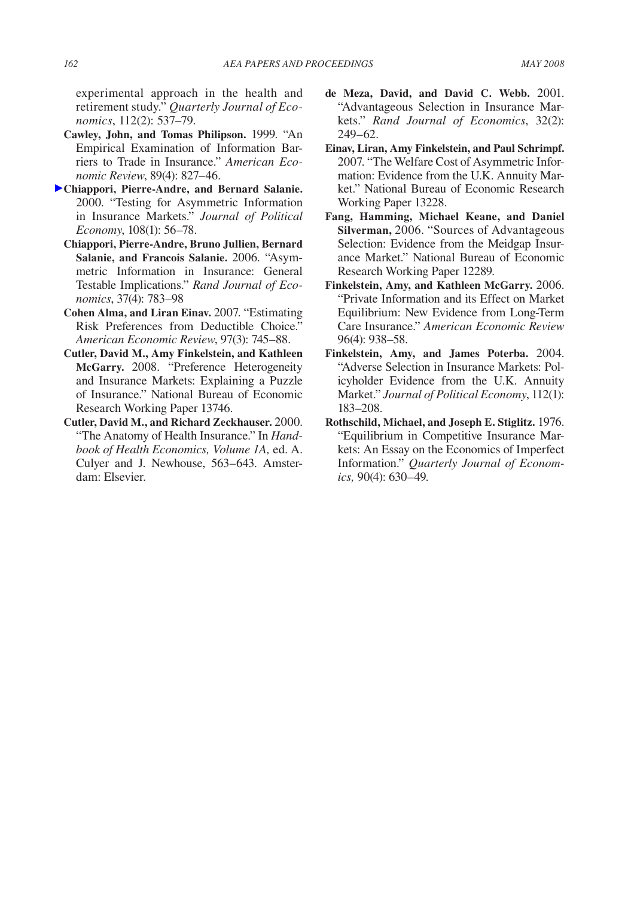experimental approach in the health and retirement study." *Quarterly Journal of Economics*, 112(2): 537–79.

- **Cawley, John, and Tomas Philipson.** 1999. "An Empirical Examination of Information Barriers to Trade in Insurance." *American Economic Review*, 89(4): 827–46.
- **Chiappori, Pierre-Andre, and Bernard Salanie.** 2000. "Testing for Asymmetric Information in Insurance Markets." *Journal of Political Economy*, 108(1): 56–78.
	- **Chiappori, Pierre-Andre, Bruno Jullien, Bernard Salanie, and Francois Salanie.** 2006. "Asymmetric Information in Insurance: General Testable Implications." *Rand Journal of Economics*, 37(4): 783–98
	- **Cohen Alma, and Liran Einav.** 2007. "Estimating Risk Preferences from Deductible Choice." *American Economic Review*, 97(3): 745–88.
	- **Cutler, David M., Amy Finkelstein, and Kathleen McGarry.** 2008. "Preference Heterogeneity and Insurance Markets: Explaining a Puzzle of Insurance." National Bureau of Economic Research Working Paper 13746.
	- **Cutler, David M., and Richard Zeckhauser.** 2000. "The Anatomy of Health Insurance." In *Handbook of Health Economics, Volume 1A,* ed. A. Culyer and J. Newhouse, 563–643. Amsterdam: Elsevier.
- **de Meza, David, and David C. Webb.** 2001. "Advantageous Selection in Insurance Markets." *Rand Journal of Economics*, 32(2): 249–62.
- **Einav, Liran, Amy Finkelstein, and Paul Schrimpf.** 2007. "The Welfare Cost of Asymmetric Information: Evidence from the U.K. Annuity Market." National Bureau of Economic Research Working Paper 13228.
- **Fang, Hamming, Michael Keane, and Daniel Silverman,** 2006. "Sources of Advantageous Selection: Evidence from the Meidgap Insurance Market." National Bureau of Economic Research Working Paper 12289.
- **Finkelstein, Amy, and Kathleen McGarry.** 2006. "Private Information and its Effect on Market Equilibrium: New Evidence from Long-Term Care Insurance." *American Economic Review*  96(4): 938–58.
- **Finkelstein, Amy, and James Poterba.** 2004. "Adverse Selection in Insurance Markets: Policyholder Evidence from the U.K. Annuity Market." *Journal of Political Economy*, 112(1): 183–208.
- **Rothschild, Michael, and Joseph E. Stiglitz.** 1976. "Equilibrium in Competitive Insurance Markets: An Essay on the Economics of Imperfect Information." *Quarterly Journal of Economics,* 90(4): 630–49.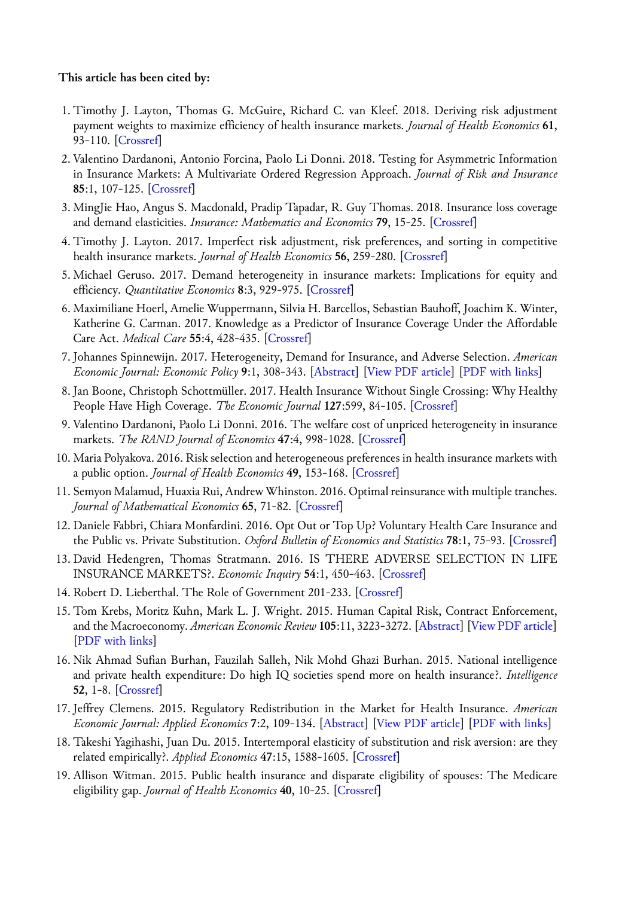# **This article has been cited by:**

- 1. Timothy J. Layton, Thomas G. McGuire, Richard C. van Kleef. 2018. Deriving risk adjustment payment weights to maximize efficiency of health insurance markets. *Journal of Health Economics* **61**, 93-110. [[Crossref\]](https://doi.org/10.1016/j.jhealeco.2018.07.001)
- 2. Valentino Dardanoni, Antonio Forcina, Paolo Li Donni. 2018. Testing for Asymmetric Information in Insurance Markets: A Multivariate Ordered Regression Approach. *Journal of Risk and Insurance* **85**:1, 107-125. [[Crossref\]](https://doi.org/10.1111/jori.12145)
- 3. MingJie Hao, Angus S. Macdonald, Pradip Tapadar, R. Guy Thomas. 2018. Insurance loss coverage and demand elasticities. *Insurance: Mathematics and Economics* **79**, 15-25. [[Crossref\]](https://doi.org/10.1016/j.insmatheco.2017.12.002)
- 4. Timothy J. Layton. 2017. Imperfect risk adjustment, risk preferences, and sorting in competitive health insurance markets. *Journal of Health Economics* **56**, 259-280. [\[Crossref](https://doi.org/10.1016/j.jhealeco.2017.04.004)]
- 5. Michael Geruso. 2017. Demand heterogeneity in insurance markets: Implications for equity and efficiency. *Quantitative Economics* **8**:3, 929-975. [\[Crossref](https://doi.org/10.3982/QE794)]
- 6. Maximiliane Hoerl, Amelie Wuppermann, Silvia H. Barcellos, Sebastian Bauhoff, Joachim K. Winter, Katherine G. Carman. 2017. Knowledge as a Predictor of Insurance Coverage Under the Affordable Care Act. *Medical Care* **55**:4, 428-435. [[Crossref](https://doi.org/10.1097/MLR.0000000000000671)]
- 7. Johannes Spinnewijn. 2017. Heterogeneity, Demand for Insurance, and Adverse Selection. *American Economic Journal: Economic Policy* **9**:1, 308-343. [[Abstract\]](https://doi.org/10.1257/pol.20140254) [[View PDF article\]](http://pubs.aeaweb.org/doi/pdf/10.1257/pol.20140254) [[PDF with links\]](http://pubs.aeaweb.org/doi/pdfplus/10.1257/pol.20140254)
- 8. Jan Boone, Christoph Schottmüller. 2017. Health Insurance Without Single Crossing: Why Healthy People Have High Coverage. *The Economic Journal* **127**:599, 84-105. [\[Crossref](https://doi.org/10.1111/ecoj.12242)]
- 9. Valentino Dardanoni, Paolo Li Donni. 2016. The welfare cost of unpriced heterogeneity in insurance markets. *The RAND Journal of Economics* **47**:4, 998-1028. [[Crossref\]](https://doi.org/10.1111/1756-2171.12164)
- 10. Maria Polyakova. 2016. Risk selection and heterogeneous preferences in health insurance markets with a public option. *Journal of Health Economics* **49**, 153-168. [[Crossref\]](https://doi.org/10.1016/j.jhealeco.2016.06.012)
- 11. Semyon Malamud, Huaxia Rui, Andrew Whinston. 2016. Optimal reinsurance with multiple tranches. *Journal of Mathematical Economics* **65**, 71-82. [\[Crossref](https://doi.org/10.1016/j.jmateco.2016.05.006)]
- 12.Daniele Fabbri, Chiara Monfardini. 2016. Opt Out or Top Up? Voluntary Health Care Insurance and the Public vs. Private Substitution. *Oxford Bulletin of Economics and Statistics* **78**:1, 75-93. [[Crossref\]](https://doi.org/10.1111/obes.12107)
- 13.David Hedengren, Thomas Stratmann. 2016. IS THERE ADVERSE SELECTION IN LIFE INSURANCE MARKETS?. *Economic Inquiry* **54**:1, 450-463. [[Crossref\]](https://doi.org/10.1111/ecin.12212)
- 14. Robert D. Lieberthal. The Role of Government 201-233. [\[Crossref](https://doi.org/10.1007/978-3-319-43796-5_8)]
- 15. Tom Krebs, Moritz Kuhn, Mark L. J. Wright. 2015. Human Capital Risk, Contract Enforcement, and the Macroeconomy. *American Economic Review* **105**:11, 3223-3272. [\[Abstract\]](https://doi.org/10.1257/aer.20111681) [\[View PDF article\]](http://pubs.aeaweb.org/doi/pdf/10.1257/aer.20111681) [\[PDF with links\]](http://pubs.aeaweb.org/doi/pdfplus/10.1257/aer.20111681)
- 16. Nik Ahmad Sufian Burhan, Fauzilah Salleh, Nik Mohd Ghazi Burhan. 2015. National intelligence and private health expenditure: Do high IQ societies spend more on health insurance?. *Intelligence* **52**, 1-8. [\[Crossref](https://doi.org/10.1016/j.intell.2015.06.005)]
- 17. Jeffrey Clemens. 2015. Regulatory Redistribution in the Market for Health Insurance. *American Economic Journal: Applied Economics* **7**:2, 109-134. [\[Abstract](https://doi.org/10.1257/app.20130169)] [\[View PDF article](http://pubs.aeaweb.org/doi/pdf/10.1257/app.20130169)] [\[PDF with links](http://pubs.aeaweb.org/doi/pdfplus/10.1257/app.20130169)]
- 18. Takeshi Yagihashi, Juan Du. 2015. Intertemporal elasticity of substitution and risk aversion: are they related empirically?. *Applied Economics* **47**:15, 1588-1605. [\[Crossref](https://doi.org/10.1080/00036846.2014.1000530)]
- 19. Allison Witman. 2015. Public health insurance and disparate eligibility of spouses: The Medicare eligibility gap. *Journal of Health Economics* **40**, 10-25. [[Crossref\]](https://doi.org/10.1016/j.jhealeco.2014.10.007)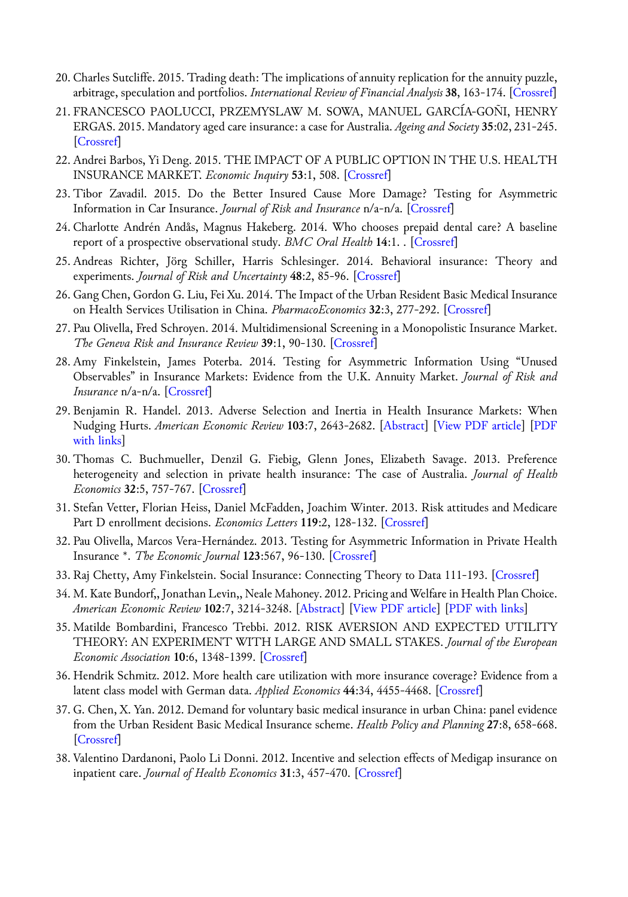- 20. Charles Sutcliffe. 2015. Trading death: The implications of annuity replication for the annuity puzzle, arbitrage, speculation and portfolios. *International Review of Financial Analysis* **38**, 163-174. [[Crossref\]](https://doi.org/10.1016/j.irfa.2014.10.010)
- 21. FRANCESCO PAOLUCCI, PRZEMYSLAW M. SOWA, MANUEL GARCÍA-GOÑI, HENRY ERGAS. 2015. Mandatory aged care insurance: a case for Australia. *Ageing and Society* **35**:02, 231-245. [\[Crossref](https://doi.org/10.1017/S0144686X13000767)]
- 22. Andrei Barbos, Yi Deng. 2015. THE IMPACT OF A PUBLIC OPTION IN THE U.S. HEALTH INSURANCE MARKET. *Economic Inquiry* **53**:1, 508. [[Crossref](https://doi.org/10.1111/ecin.12132)]
- 23. Tibor Zavadil. 2015. Do the Better Insured Cause More Damage? Testing for Asymmetric Information in Car Insurance. *Journal of Risk and Insurance* n/a-n/a. [[Crossref\]](https://doi.org/10.1111/jori.12040)
- 24. Charlotte Andrén Andås, Magnus Hakeberg. 2014. Who chooses prepaid dental care? A baseline report of a prospective observational study. *BMC Oral Health* **14**:1. . [\[Crossref](https://doi.org/10.1186/1472-6831-14-146)]
- 25. Andreas Richter, Jörg Schiller, Harris Schlesinger. 2014. Behavioral insurance: Theory and experiments. *Journal of Risk and Uncertainty* **48**:2, 85-96. [[Crossref\]](https://doi.org/10.1007/s11166-014-9188-x)
- 26. Gang Chen, Gordon G. Liu, Fei Xu. 2014. The Impact of the Urban Resident Basic Medical Insurance on Health Services Utilisation in China. *PharmacoEconomics* **32**:3, 277-292. [\[Crossref](https://doi.org/10.1007/s40273-013-0097-7)]
- 27. Pau Olivella, Fred Schroyen. 2014. Multidimensional Screening in a Monopolistic Insurance Market. *The Geneva Risk and Insurance Review* **39**:1, 90-130. [[Crossref\]](https://doi.org/10.1057/grir.2014.1)
- 28. Amy Finkelstein, James Poterba. 2014. Testing for Asymmetric Information Using "Unused Observables" in Insurance Markets: Evidence from the U.K. Annuity Market. *Journal of Risk and Insurance* n/a-n/a. [\[Crossref](https://doi.org/10.1111/jori.12030)]
- 29. Benjamin R. Handel. 2013. Adverse Selection and Inertia in Health Insurance Markets: When Nudging Hurts. *American Economic Review* **103**:7, 2643-2682. [[Abstract\]](https://doi.org/10.1257/aer.103.7.2643) [[View PDF article](http://pubs.aeaweb.org/doi/pdf/10.1257/aer.103.7.2643)] [\[PDF](http://pubs.aeaweb.org/doi/pdfplus/10.1257/aer.103.7.2643) [with links](http://pubs.aeaweb.org/doi/pdfplus/10.1257/aer.103.7.2643)]
- 30. Thomas C. Buchmueller, Denzil G. Fiebig, Glenn Jones, Elizabeth Savage. 2013. Preference heterogeneity and selection in private health insurance: The case of Australia. *Journal of Health Economics* **32**:5, 757-767. [[Crossref\]](https://doi.org/10.1016/j.jhealeco.2013.05.001)
- 31. Stefan Vetter, Florian Heiss, Daniel McFadden, Joachim Winter. 2013. Risk attitudes and Medicare Part D enrollment decisions. *Economics Letters* **119**:2, 128-132. [[Crossref\]](https://doi.org/10.1016/j.econlet.2013.01.033)
- 32. Pau Olivella, Marcos Vera-Hernández. 2013. Testing for Asymmetric Information in Private Health Insurance \*. *The Economic Journal* **123**:567, 96-130. [\[Crossref](https://doi.org/10.1111/j.1468-0297.2012.02520.x)]
- 33. Raj Chetty, Amy Finkelstein. Social Insurance: Connecting Theory to Data 111-193. [[Crossref\]](https://doi.org/10.1016/B978-0-444-53759-1.00003-0)
- 34. M. Kate Bundorf,, Jonathan Levin,, Neale Mahoney. 2012. Pricing and Welfare in Health Plan Choice. *American Economic Review* **102**:7, 3214-3248. [[Abstract\]](https://doi.org/10.1257/aer.102.7.3214) [\[View PDF article](http://pubs.aeaweb.org/doi/pdf/10.1257/aer.102.7.3214)] [\[PDF with links\]](http://pubs.aeaweb.org/doi/pdfplus/10.1257/aer.102.7.3214)
- 35. Matilde Bombardini, Francesco Trebbi. 2012. RISK AVERSION AND EXPECTED UTILITY THEORY: AN EXPERIMENT WITH LARGE AND SMALL STAKES. *Journal of the European Economic Association* **10**:6, 1348-1399. [[Crossref\]](https://doi.org/10.1111/j.1542-4774.2012.01086.x)
- 36. Hendrik Schmitz. 2012. More health care utilization with more insurance coverage? Evidence from a latent class model with German data. *Applied Economics* **44**:34, 4455-4468. [[Crossref\]](https://doi.org/10.1080/00036846.2011.591733)
- 37. G. Chen, X. Yan. 2012. Demand for voluntary basic medical insurance in urban China: panel evidence from the Urban Resident Basic Medical Insurance scheme. *Health Policy and Planning* **27**:8, 658-668. [\[Crossref](https://doi.org/10.1093/heapol/czs014)]
- 38. Valentino Dardanoni, Paolo Li Donni. 2012. Incentive and selection effects of Medigap insurance on inpatient care. *Journal of Health Economics* **31**:3, 457-470. [[Crossref\]](https://doi.org/10.1016/j.jhealeco.2012.02.007)